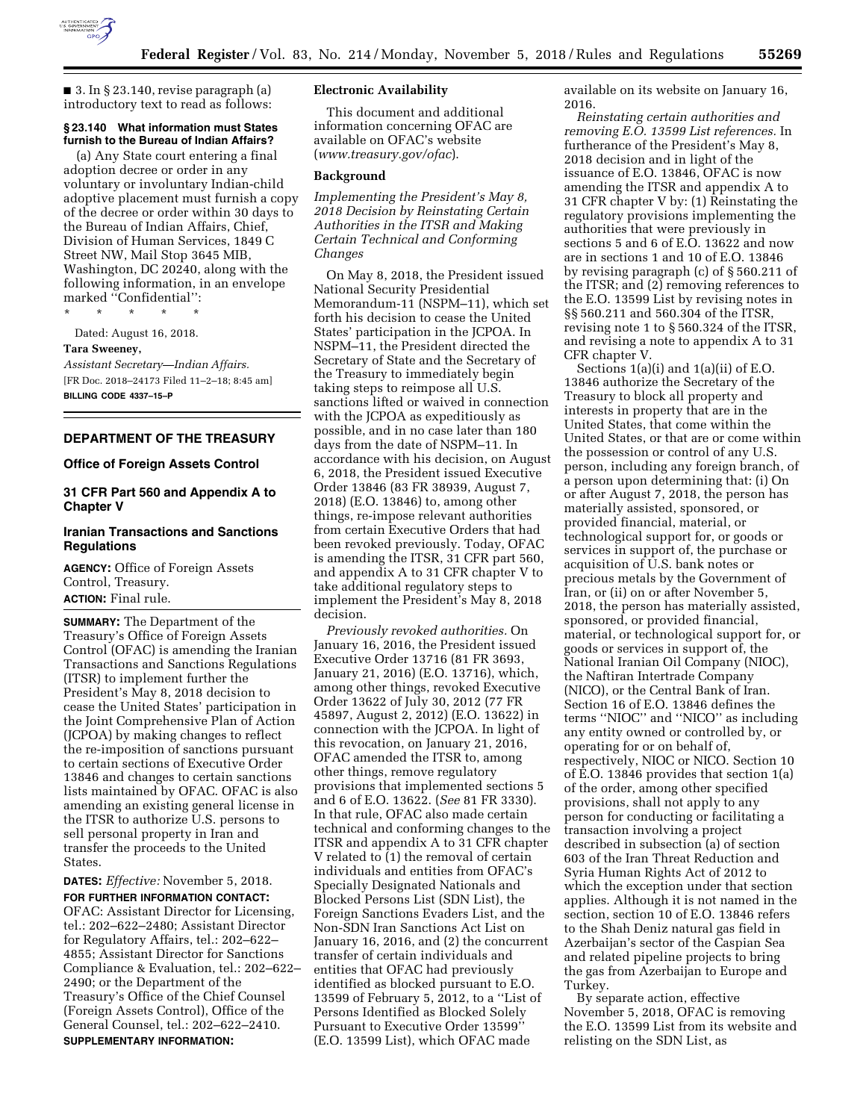

 $\blacksquare$  3. In § 23.140, revise paragraph (a) introductory text to read as follows:

# **§ 23.140 What information must States furnish to the Bureau of Indian Affairs?**

(a) Any State court entering a final adoption decree or order in any voluntary or involuntary Indian-child adoptive placement must furnish a copy of the decree or order within 30 days to the Bureau of Indian Affairs, Chief, Division of Human Services, 1849 C Street NW, Mail Stop 3645 MIB, Washington, DC 20240, along with the following information, in an envelope marked ''Confidential'':

\* \* \* \* \*

Dated: August 16, 2018.

#### **Tara Sweeney,**

*Assistant Secretary—Indian Affairs.*  [FR Doc. 2018–24173 Filed 11–2–18; 8:45 am] **BILLING CODE 4337–15–P** 

## **DEPARTMENT OF THE TREASURY**

### **Office of Foreign Assets Control**

# **31 CFR Part 560 and Appendix A to Chapter V**

## **Iranian Transactions and Sanctions Regulations**

**AGENCY:** Office of Foreign Assets Control, Treasury. **ACTION:** Final rule.

**SUMMARY:** The Department of the Treasury's Office of Foreign Assets Control (OFAC) is amending the Iranian Transactions and Sanctions Regulations (ITSR) to implement further the President's May 8, 2018 decision to cease the United States' participation in the Joint Comprehensive Plan of Action (JCPOA) by making changes to reflect the re-imposition of sanctions pursuant to certain sections of Executive Order 13846 and changes to certain sanctions lists maintained by OFAC. OFAC is also amending an existing general license in the ITSR to authorize U.S. persons to sell personal property in Iran and transfer the proceeds to the United States.

**DATES:** *Effective:* November 5, 2018. **FOR FURTHER INFORMATION CONTACT:**  OFAC: Assistant Director for Licensing, tel.: 202–622–2480; Assistant Director for Regulatory Affairs, tel.: 202–622– 4855; Assistant Director for Sanctions Compliance & Evaluation, tel.: 202–622– 2490; or the Department of the Treasury's Office of the Chief Counsel (Foreign Assets Control), Office of the General Counsel, tel.: 202–622–2410. **SUPPLEMENTARY INFORMATION:** 

### **Electronic Availability**

This document and additional information concerning OFAC are available on OFAC's website (*[www.treasury.gov/ofac](http://www.treasury.gov/ofac)*).

## **Background**

*Implementing the President's May 8, 2018 Decision by Reinstating Certain Authorities in the ITSR and Making Certain Technical and Conforming Changes* 

On May 8, 2018, the President issued National Security Presidential Memorandum-11 (NSPM–11), which set forth his decision to cease the United States' participation in the JCPOA. In NSPM–11, the President directed the Secretary of State and the Secretary of the Treasury to immediately begin taking steps to reimpose all U.S. sanctions lifted or waived in connection with the JCPOA as expeditiously as possible, and in no case later than 180 days from the date of NSPM–11. In accordance with his decision, on August 6, 2018, the President issued Executive Order 13846 (83 FR 38939, August 7, 2018) (E.O. 13846) to, among other things, re-impose relevant authorities from certain Executive Orders that had been revoked previously. Today, OFAC is amending the ITSR, 31 CFR part 560, and appendix A to 31 CFR chapter V to take additional regulatory steps to implement the President's May 8, 2018 decision.

*Previously revoked authorities.* On January 16, 2016, the President issued Executive Order 13716 (81 FR 3693, January 21, 2016) (E.O. 13716), which, among other things, revoked Executive Order 13622 of July 30, 2012 (77 FR 45897, August 2, 2012) (E.O. 13622) in connection with the JCPOA. In light of this revocation, on January 21, 2016, OFAC amended the ITSR to, among other things, remove regulatory provisions that implemented sections 5 and 6 of E.O. 13622. (*See* 81 FR 3330). In that rule, OFAC also made certain technical and conforming changes to the ITSR and appendix A to 31 CFR chapter V related to (1) the removal of certain individuals and entities from OFAC's Specially Designated Nationals and Blocked Persons List (SDN List), the Foreign Sanctions Evaders List, and the Non-SDN Iran Sanctions Act List on January 16, 2016, and (2) the concurrent transfer of certain individuals and entities that OFAC had previously identified as blocked pursuant to E.O. 13599 of February 5, 2012, to a ''List of Persons Identified as Blocked Solely Pursuant to Executive Order 13599'' (E.O. 13599 List), which OFAC made

available on its website on January 16, 2016.

*Reinstating certain authorities and removing E.O. 13599 List references.* In furtherance of the President's May 8, 2018 decision and in light of the issuance of E.O. 13846, OFAC is now amending the ITSR and appendix A to 31 CFR chapter V by: (1) Reinstating the regulatory provisions implementing the authorities that were previously in sections 5 and 6 of E.O. 13622 and now are in sections 1 and 10 of E.O. 13846 by revising paragraph (c) of § 560.211 of the ITSR; and (2) removing references to the E.O. 13599 List by revising notes in §§ 560.211 and 560.304 of the ITSR, revising note 1 to § 560.324 of the ITSR, and revising a note to appendix A to 31 CFR chapter V.

Sections 1(a)(i) and 1(a)(ii) of E.O. 13846 authorize the Secretary of the Treasury to block all property and interests in property that are in the United States, that come within the United States, or that are or come within the possession or control of any U.S. person, including any foreign branch, of a person upon determining that: (i) On or after August 7, 2018, the person has materially assisted, sponsored, or provided financial, material, or technological support for, or goods or services in support of, the purchase or acquisition of U.S. bank notes or precious metals by the Government of Iran, or (ii) on or after November 5, 2018, the person has materially assisted, sponsored, or provided financial, material, or technological support for, or goods or services in support of, the National Iranian Oil Company (NIOC), the Naftiran Intertrade Company (NICO), or the Central Bank of Iran. Section 16 of E.O. 13846 defines the terms ''NIOC'' and ''NICO'' as including any entity owned or controlled by, or operating for or on behalf of, respectively, NIOC or NICO. Section 10 of E.O. 13846 provides that section 1(a) of the order, among other specified provisions, shall not apply to any person for conducting or facilitating a transaction involving a project described in subsection (a) of section 603 of the Iran Threat Reduction and Syria Human Rights Act of 2012 to which the exception under that section applies. Although it is not named in the section, section 10 of E.O. 13846 refers to the Shah Deniz natural gas field in Azerbaijan's sector of the Caspian Sea and related pipeline projects to bring the gas from Azerbaijan to Europe and Turkey.

By separate action, effective November 5, 2018, OFAC is removing the E.O. 13599 List from its website and relisting on the SDN List, as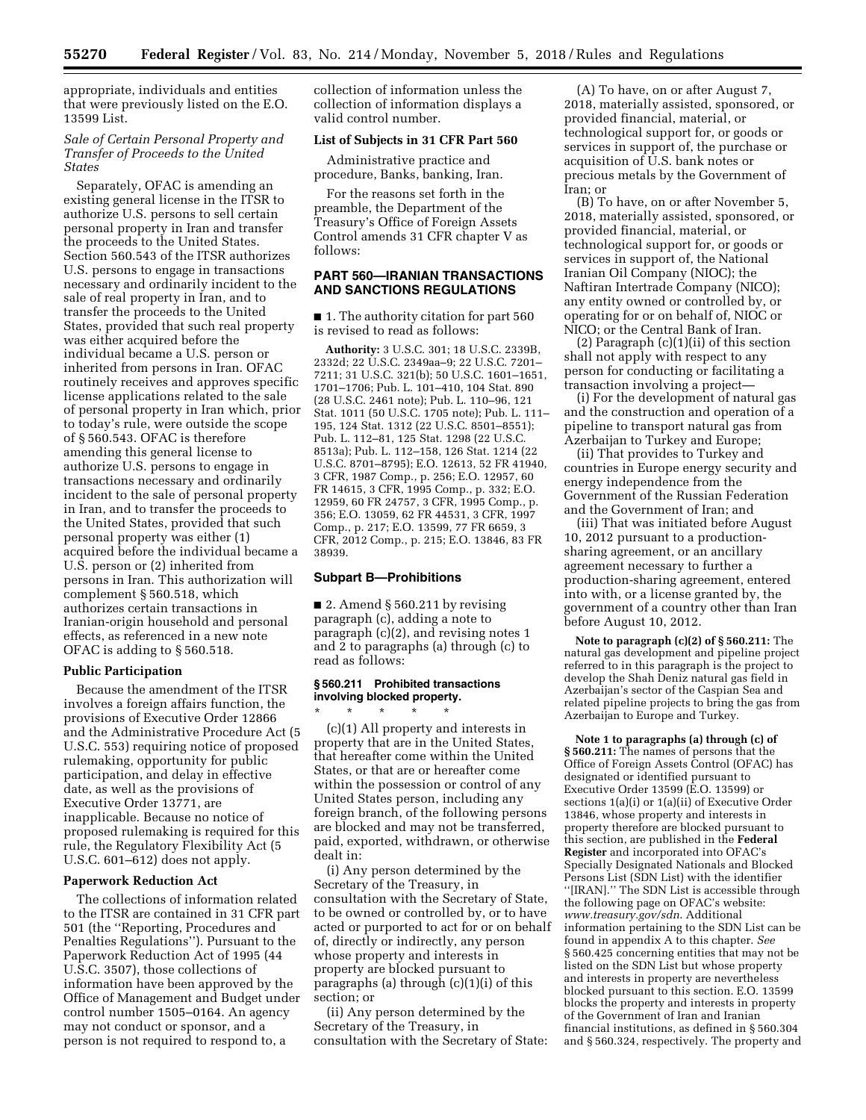appropriate, individuals and entities that were previously listed on the E.O. 13599 List.

### *Sale of Certain Personal Property and Transfer of Proceeds to the United States*

Separately, OFAC is amending an existing general license in the ITSR to authorize U.S. persons to sell certain personal property in Iran and transfer the proceeds to the United States. Section 560.543 of the ITSR authorizes U.S. persons to engage in transactions necessary and ordinarily incident to the sale of real property in Iran, and to transfer the proceeds to the United States, provided that such real property was either acquired before the individual became a U.S. person or inherited from persons in Iran. OFAC routinely receives and approves specific license applications related to the sale of personal property in Iran which, prior to today's rule, were outside the scope of § 560.543. OFAC is therefore amending this general license to authorize U.S. persons to engage in transactions necessary and ordinarily incident to the sale of personal property in Iran, and to transfer the proceeds to the United States, provided that such personal property was either (1) acquired before the individual became a U.S. person or (2) inherited from persons in Iran. This authorization will complement § 560.518, which authorizes certain transactions in Iranian-origin household and personal effects, as referenced in a new note OFAC is adding to § 560.518.

#### **Public Participation**

Because the amendment of the ITSR involves a foreign affairs function, the provisions of Executive Order 12866 and the Administrative Procedure Act (5 U.S.C. 553) requiring notice of proposed rulemaking, opportunity for public participation, and delay in effective date, as well as the provisions of Executive Order 13771, are inapplicable. Because no notice of proposed rulemaking is required for this rule, the Regulatory Flexibility Act (5 U.S.C. 601–612) does not apply.

#### **Paperwork Reduction Act**

The collections of information related to the ITSR are contained in 31 CFR part 501 (the ''Reporting, Procedures and Penalties Regulations''). Pursuant to the Paperwork Reduction Act of 1995 (44 U.S.C. 3507), those collections of information have been approved by the Office of Management and Budget under control number 1505–0164. An agency may not conduct or sponsor, and a person is not required to respond to, a

collection of information unless the collection of information displays a valid control number.

#### **List of Subjects in 31 CFR Part 560**

Administrative practice and procedure, Banks, banking, Iran.

For the reasons set forth in the preamble, the Department of the Treasury's Office of Foreign Assets Control amends 31 CFR chapter V as follows:

# **PART 560—IRANIAN TRANSACTIONS AND SANCTIONS REGULATIONS**

■ 1. The authority citation for part 560 is revised to read as follows:

**Authority:** 3 U.S.C. 301; 18 U.S.C. 2339B, 2332d; 22 U.S.C. 2349aa–9; 22 U.S.C. 7201– 7211; 31 U.S.C. 321(b); 50 U.S.C. 1601–1651, 1701–1706; Pub. L. 101–410, 104 Stat. 890 (28 U.S.C. 2461 note); Pub. L. 110–96, 121 Stat. 1011 (50 U.S.C. 1705 note); Pub. L. 111– 195, 124 Stat. 1312 (22 U.S.C. 8501–8551); Pub. L. 112–81, 125 Stat. 1298 (22 U.S.C. 8513a); Pub. L. 112–158, 126 Stat. 1214 (22 U.S.C. 8701–8795); E.O. 12613, 52 FR 41940, 3 CFR, 1987 Comp., p. 256; E.O. 12957, 60 FR 14615, 3 CFR, 1995 Comp., p. 332; E.O. 12959, 60 FR 24757, 3 CFR, 1995 Comp., p. 356; E.O. 13059, 62 FR 44531, 3 CFR, 1997 Comp., p. 217; E.O. 13599, 77 FR 6659, 3 CFR, 2012 Comp., p. 215; E.O. 13846, 83 FR 38939.

#### **Subpart B—Prohibitions**

 $\blacksquare$  2. Amend § 560.211 by revising paragraph (c), adding a note to paragraph (c)(2), and revising notes 1 and 2 to paragraphs (a) through (c) to read as follows:

# **§ 560.211 Prohibited transactions involving blocked property.**

\* \* \* \* \* (c)(1) All property and interests in property that are in the United States, that hereafter come within the United States, or that are or hereafter come within the possession or control of any United States person, including any foreign branch, of the following persons are blocked and may not be transferred, paid, exported, withdrawn, or otherwise dealt in:

(i) Any person determined by the Secretary of the Treasury, in consultation with the Secretary of State, to be owned or controlled by, or to have acted or purported to act for or on behalf of, directly or indirectly, any person whose property and interests in property are blocked pursuant to paragraphs (a) through (c)(1)(i) of this section; or

(ii) Any person determined by the Secretary of the Treasury, in consultation with the Secretary of State:

(A) To have, on or after August 7, 2018, materially assisted, sponsored, or provided financial, material, or technological support for, or goods or services in support of, the purchase or acquisition of U.S. bank notes or precious metals by the Government of Iran; or

(B) To have, on or after November 5, 2018, materially assisted, sponsored, or provided financial, material, or technological support for, or goods or services in support of, the National Iranian Oil Company (NIOC); the Naftiran Intertrade Company (NICO); any entity owned or controlled by, or operating for or on behalf of, NIOC or NICO; or the Central Bank of Iran.

(2) Paragraph (c)(1)(ii) of this section shall not apply with respect to any person for conducting or facilitating a transaction involving a project—

(i) For the development of natural gas and the construction and operation of a pipeline to transport natural gas from Azerbaijan to Turkey and Europe;

(ii) That provides to Turkey and countries in Europe energy security and energy independence from the Government of the Russian Federation and the Government of Iran; and

(iii) That was initiated before August 10, 2012 pursuant to a productionsharing agreement, or an ancillary agreement necessary to further a production-sharing agreement, entered into with, or a license granted by, the government of a country other than Iran before August 10, 2012.

**Note to paragraph (c)(2) of § 560.211:** The natural gas development and pipeline project referred to in this paragraph is the project to develop the Shah Deniz natural gas field in Azerbaijan's sector of the Caspian Sea and related pipeline projects to bring the gas from Azerbaijan to Europe and Turkey.

**Note 1 to paragraphs (a) through (c) of § 560.211:** The names of persons that the Office of Foreign Assets Control (OFAC) has designated or identified pursuant to Executive Order 13599 (E.O. 13599) or sections 1(a)(i) or 1(a)(ii) of Executive Order 13846, whose property and interests in property therefore are blocked pursuant to this section, are published in the **Federal Register** and incorporated into OFAC's Specially Designated Nationals and Blocked Persons List (SDN List) with the identifier ''[IRAN].'' The SDN List is accessible through the following page on OFAC's website: *[www.treasury.gov/sdn](http://www.treasury.gov/sdn)*. Additional information pertaining to the SDN List can be found in appendix A to this chapter. *See*  § 560.425 concerning entities that may not be listed on the SDN List but whose property and interests in property are nevertheless blocked pursuant to this section. E.O. 13599 blocks the property and interests in property of the Government of Iran and Iranian financial institutions, as defined in § 560.304 and § 560.324, respectively. The property and